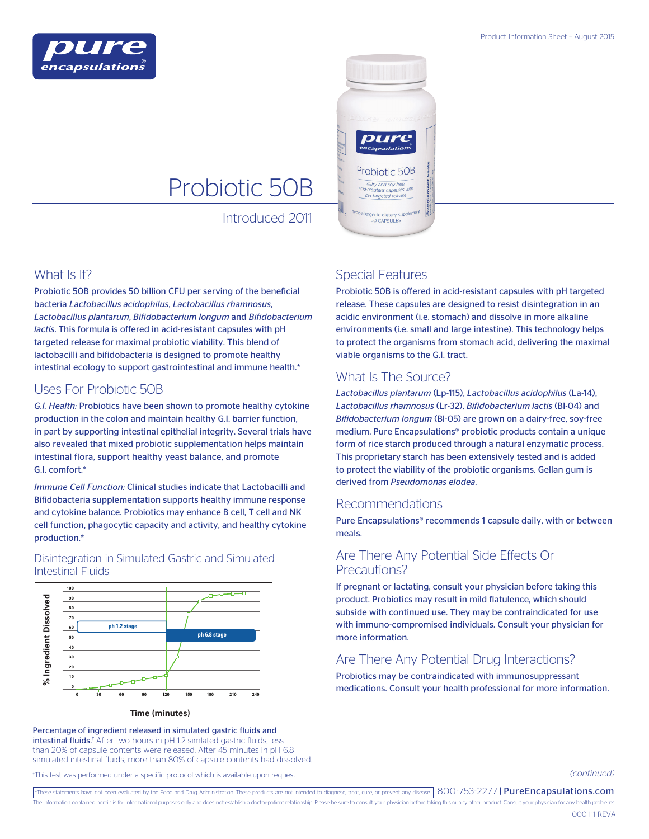



# Probiotic 50B

Introduced 2011

### What Is It?

Probiotic 50B provides 50 billion CFU per serving of the beneficial bacteria *Lactobacillus acidophilus*, *Lactobacillus rhamnosus*, *Lactobacillus plantarum*, *Bifidobacterium longum* and *Bifidobacterium lactis*. This formula is offered in acid-resistant capsules with pH targeted release for maximal probiotic viability. This blend of lactobacilli and bifidobacteria is designed to promote healthy intestinal ecology to support gastrointestinal and immune health.\*

#### Uses For Probiotic 50B

*G.I. Health:* Probiotics have been shown to promote healthy cytokine production in the colon and maintain healthy G.I. barrier function, in part by supporting intestinal epithelial integrity. Several trials have also revealed that mixed probiotic supplementation helps maintain intestinal flora, support healthy yeast balance, and promote G.I. comfort.\*

*Immune Cell Function:* Clinical studies indicate that Lactobacilli and Bifidobacteria supplementation supports healthy immune response and cytokine balance. Probiotics may enhance B cell, T cell and NK cell function, phagocytic capacity and activity, and healthy cytokine production.\*

#### **100**  $\overline{ }$ ᅲ Ingredient Dissolved **90 % Ingredient Dissolved 80 70 ph 1.2 stage 60 ph 6.8 stage 50 40 30 20 10** ಸಿ **0**

Disintegration in Simulated Gastric and Simulated Intestinal Fluids

Percentage of ingredient released in simulated gastric fluids and intestinal fluids.<sup>†</sup> After two hours in pH 1.2 simlated gastric fluids, less than 20% of capsule contents were released. After 45 minutes in pH 6.8 simulated intestinal fluids, more than 80% of capsule contents had dissolved.

## Special Features

Probiotic 50B is offered in acid-resistant capsules with pH targeted release. These capsules are designed to resist disintegration in an acidic environment (i.e. stomach) and dissolve in more alkaline environments (i.e. small and large intestine). This technology helps to protect the organisms from stomach acid, delivering the maximal viable organisms to the G.I. tract.

# What Is The Source?

*Lactobacillus plantarum* (Lp-115), *Lactobacillus acidophilus* (La-14), *Lactobacillus rhamnosus* (Lr-32), *Bifidobacterium lactis* (Bl-04) and *Bifidobacterium longum* (Bl-05) are grown on a dairy-free, soy-free medium. Pure Encapsulations® probiotic products contain a unique form of rice starch produced through a natural enzymatic process. This proprietary starch has been extensively tested and is added to protect the viability of the probiotic organisms. Gellan gum is derived from *Pseudomonas elodea*.

#### Recommendations

Pure Encapsulations® recommends 1 capsule daily, with or between meals.

#### Are There Any Potential Side Effects Or Precautions?

If pregnant or lactating, consult your physician before taking this product. Probiotics may result in mild flatulence, which should subside with continued use. They may be contraindicated for use with immuno-compromised individuals. Consult your physician for more information.

# Are There Any Potential Drug Interactions?

Probiotics may be contraindicated with immunosuppressant  $\frac{1}{240}$  **medications. Consult your health professional for more information.** 

*(continued)*

† This test was performed under a specific protocol which is available upon request.

**Time (minutes)**

\*These statements have not been evaluated by the Food and Drug Administration. These products are not intended to diagnose, treat, cure, or prevent any disease.  $800$ -753-2277 | PureEncapsulations.com The information contained herein is for informational purposes only and does not establish a doctor-patient relationship. Please be sure to consult your physician before taking this or any other product. Consult your physi